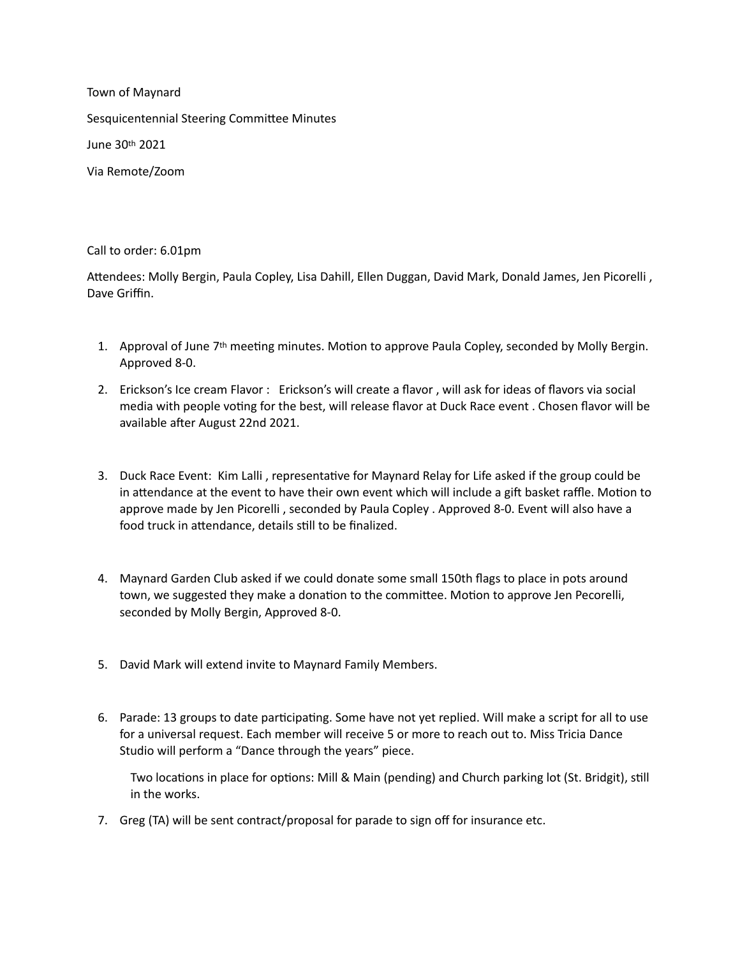Town of Maynard Sesquicentennial Steering Committee Minutes June 30th 2021 Via Remote/Zoom

Call to order: 6.01pm

Attendees: Molly Bergin, Paula Copley, Lisa Dahill, Ellen Duggan, David Mark, Donald James, Jen Picorelli , Dave Griffin.

- 1. Approval of June 7th meeting minutes. Motion to approve Paula Copley, seconded by Molly Bergin. Approved 8-0.
- 2. Erickson's Ice cream Flavor : Erickson's will create a flavor , will ask for ideas of flavors via social media with people voting for the best, will release flavor at Duck Race event . Chosen flavor will be available after August 22nd 2021.
- 3. Duck Race Event: Kim Lalli , representative for Maynard Relay for Life asked if the group could be in attendance at the event to have their own event which will include a gift basket raffle. Motion to approve made by Jen Picorelli , seconded by Paula Copley . Approved 8-0. Event will also have a food truck in attendance, details still to be finalized.
- 4. Maynard Garden Club asked if we could donate some small 150th flags to place in pots around town, we suggested they make a donation to the committee. Motion to approve Jen Pecorelli, seconded by Molly Bergin, Approved 8-0.
- 5. David Mark will extend invite to Maynard Family Members.
- 6. Parade: 13 groups to date participating. Some have not yet replied. Will make a script for all to use for a universal request. Each member will receive 5 or more to reach out to. Miss Tricia Dance Studio will perform a "Dance through the years" piece.

Two locations in place for options: Mill & Main (pending) and Church parking lot (St. Bridgit), still in the works.

7. Greg (TA) will be sent contract/proposal for parade to sign off for insurance etc.